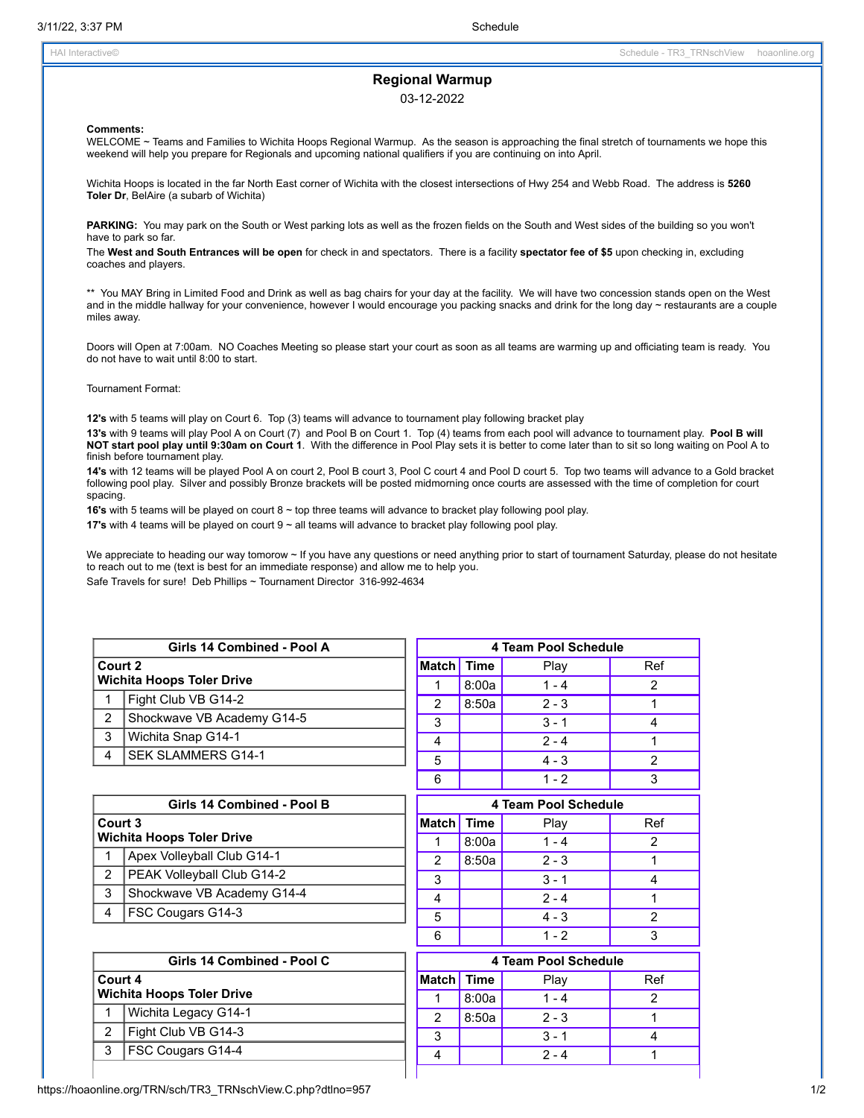# **Regional Warmup**

## 03-12-2022

#### **Comments:**

WELCOME ~ Teams and Families to Wichita Hoops Regional Warmup. As the season is approaching the final stretch of tournaments we hope this weekend will help you prepare for Regionals and upcoming national qualifiers if you are continuing on into April.

Wichita Hoops is located in the far North East corner of Wichita with the closest intersections of Hwy 254 and Webb Road. The address is **5260 Toler Dr**, BelAire (a subarb of Wichita)

PARKING: You may park on the South or West parking lots as well as the frozen fields on the South and West sides of the building so you won't have to park so far.

The **West and South Entrances will be open** for check in and spectators. There is a facility **spectator fee of \$5** upon checking in, excluding coaches and players.

\*\* You MAY Bring in Limited Food and Drink as well as bag chairs for your day at the facility. We will have two concession stands open on the West and in the middle hallway for your convenience, however I would encourage you packing snacks and drink for the long day ~ restaurants are a couple miles away.

Doors will Open at 7:00am. NO Coaches Meeting so please start your court as soon as all teams are warming up and officiating team is ready. You do not have to wait until 8:00 to start.

### Tournament Format:

**12's** with 5 teams will play on Court 6. Top (3) teams will advance to tournament play following bracket play

**13's** with 9 teams will play Pool A on Court (7) and Pool B on Court 1. Top (4) teams from each pool will advance to tournament play. **Pool B will NOT start pool play until 9:30am on Court 1**. With the difference in Pool Play sets it is better to come later than to sit so long waiting on Pool A to finish before tournament play.

**14's** with 12 teams will be played Pool A on court 2, Pool B court 3, Pool C court 4 and Pool D court 5. Top two teams will advance to a Gold bracket following pool play. Silver and possibly Bronze brackets will be posted midmorning once courts are assessed with the time of completion for court spacing.

**16's** with 5 teams will be played on court 8 ~ top three teams will advance to bracket play following pool play.

**17's** with 4 teams will be played on court 9 ~ all teams will advance to bracket play following pool play.

We appreciate to heading our way tomorow ~ If you have any questions or need anything prior to start of tournament Saturday, please do not hesitate to reach out to me (text is best for an immediate response) and allow me to help you. Safe Travels for sure! Deb Phillips ~ Tournament Director 316-992-4634

|         | Girls 14 Combined - Pool A       |            |       |
|---------|----------------------------------|------------|-------|
| Court 2 |                                  | Match Time |       |
|         | <b>Wichita Hoops Toler Drive</b> |            | 8:00: |
|         | Fight Club VB G14-2              | 2          | 8:50s |
| 2       | Shockwave VB Academy G14-5       | 3          |       |
| 3       | Wichita Snap G14-1               |            |       |
| 4       | <b>SEK SLAMMERS G14-1</b>        | 5          |       |
|         |                                  |            |       |

| Girls 14 Combined - Pool B                  |                                   |  |  |  |
|---------------------------------------------|-----------------------------------|--|--|--|
| Court 3<br><b>Wichita Hoops Toler Drive</b> |                                   |  |  |  |
|                                             | Apex Volleyball Club G14-1        |  |  |  |
| $\overline{2}$                              | <b>PEAK Volleyball Club G14-2</b> |  |  |  |
| 3                                           | Shockwave VB Academy G14-4        |  |  |  |
|                                             | <b>FSC Cougars G14-3</b>          |  |  |  |

|               | Girls 14 Combined - Pool C       |  |
|---------------|----------------------------------|--|
| Court 4       |                                  |  |
|               | <b>Wichita Hoops Toler Drive</b> |  |
|               | Wichita Legacy G14-1             |  |
| $\mathcal{P}$ | Fight Club VB G14-3              |  |
| 3             | <b>FSC Cougars G14-4</b>         |  |

| 4 Team Pool Schedule |       |         |     |  |  |
|----------------------|-------|---------|-----|--|--|
| Match Time           |       | Play    | Ref |  |  |
|                      | 8:00a | $1 - 4$ | 2   |  |  |
| 2                    | 8:50a | $2 - 3$ |     |  |  |
| 3                    |       | $3 - 1$ |     |  |  |
|                      |       | $2 - 4$ |     |  |  |
| 5                    |       | $4 - 3$ | 2   |  |  |
| 6                    |       | $1 - 2$ | з   |  |  |
|                      |       |         |     |  |  |

| 4 Team Pool Schedule |       |         |     |  |  |
|----------------------|-------|---------|-----|--|--|
| Match Time           |       | Play    | Ref |  |  |
|                      | 8:00a | $1 - 4$ | 2   |  |  |
| 2                    | 8:50a | $2 - 3$ |     |  |  |
| 3                    |       | $3 - 1$ |     |  |  |
|                      |       | $2 - 4$ |     |  |  |
| 5                    |       | $4 - 3$ | 2   |  |  |
|                      |       | 1 - 2   |     |  |  |

|            | 4 Team Pool Schedule |         |     |  |  |
|------------|----------------------|---------|-----|--|--|
| Match Time |                      | Play    | Ref |  |  |
|            | 8:00a                | $1 - 4$ | 2   |  |  |
| 2          | 8:50a                | $2 - 3$ |     |  |  |
| 3          |                      | $3 - 1$ |     |  |  |
|            |                      | $2 - 4$ |     |  |  |